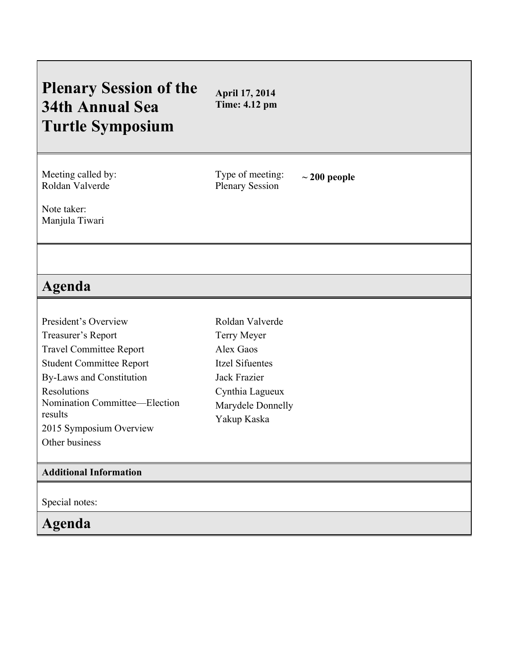## **Plenary Session of the 34th Annual Sea Turtle Symposium April 17, 2014 Time: 4.12 pm** Meeting called by: Roldan Valverde Type of meeting: Type of meeting:  $\sim 200$  people<br>Plenary Session Note taker: Manjula Tiwari **Agenda** President's Overview Treasurer's Report Travel Committee Report Student Committee Report By-Laws and Constitution Resolutions Nomination Committee—Election results 2015 Symposium Overview Other business Roldan Valverde Terry Meyer Alex Gaos Itzel Sifuentes Jack Frazier Cynthia Lagueux Marydele Donnelly Yakup Kaska **Additional Information** Special notes: **Agenda**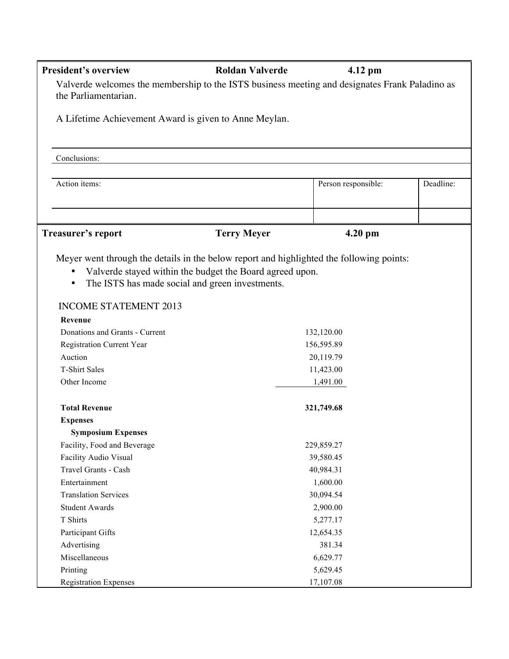| <b>President's overview</b>    | <b>Roldan Valverde</b>                                                                                                                                                                                  | $4.12$ pm           |           |
|--------------------------------|---------------------------------------------------------------------------------------------------------------------------------------------------------------------------------------------------------|---------------------|-----------|
| the Parliamentarian.           | Valverde welcomes the membership to the ISTS business meeting and designates Frank Paladino as                                                                                                          |                     |           |
|                                | A Lifetime Achievement Award is given to Anne Meylan.                                                                                                                                                   |                     |           |
| Conclusions:                   |                                                                                                                                                                                                         |                     |           |
| Action items:                  |                                                                                                                                                                                                         | Person responsible: | Deadline: |
| Treasurer's report             | <b>Terry Meyer</b>                                                                                                                                                                                      | 4.20 pm             |           |
| $\bullet$<br>$\bullet$         | Meyer went through the details in the below report and highlighted the following points:<br>Valverde stayed within the budget the Board agreed upon.<br>The ISTS has made social and green investments. |                     |           |
| <b>INCOME STATEMENT 2013</b>   |                                                                                                                                                                                                         |                     |           |
| Revenue                        |                                                                                                                                                                                                         |                     |           |
| Donations and Grants - Current |                                                                                                                                                                                                         | 132,120.00          |           |
| Registration Current Year      |                                                                                                                                                                                                         | 156,595.89          |           |
| Auction                        |                                                                                                                                                                                                         | 20,119.79           |           |
| <b>T-Shirt Sales</b>           |                                                                                                                                                                                                         | 11,423.00           |           |
| Other Income                   |                                                                                                                                                                                                         | 1,491.00            |           |
| <b>Total Revenue</b>           |                                                                                                                                                                                                         | 321,749.68          |           |
| <b>Expenses</b>                |                                                                                                                                                                                                         |                     |           |
| <b>Symposium Expenses</b>      |                                                                                                                                                                                                         |                     |           |
| Facility, Food and Beverage    |                                                                                                                                                                                                         | 229,859.27          |           |
| Facility Audio Visual          |                                                                                                                                                                                                         | 39,580.45           |           |
| Travel Grants - Cash           |                                                                                                                                                                                                         | 40,984.31           |           |
| Entertainment                  |                                                                                                                                                                                                         | 1,600.00            |           |
| <b>Translation Services</b>    |                                                                                                                                                                                                         | 30,094.54           |           |
| <b>Student Awards</b>          |                                                                                                                                                                                                         | 2,900.00            |           |
| T Shirts                       |                                                                                                                                                                                                         | 5,277.17            |           |
| Participant Gifts              |                                                                                                                                                                                                         | 12,654.35           |           |
| Advertising                    |                                                                                                                                                                                                         | 381.34              |           |
| Miscellaneous                  |                                                                                                                                                                                                         | 6,629.77            |           |
| Printing                       |                                                                                                                                                                                                         | 5,629.45            |           |
| <b>Registration Expenses</b>   |                                                                                                                                                                                                         | 17,107.08           |           |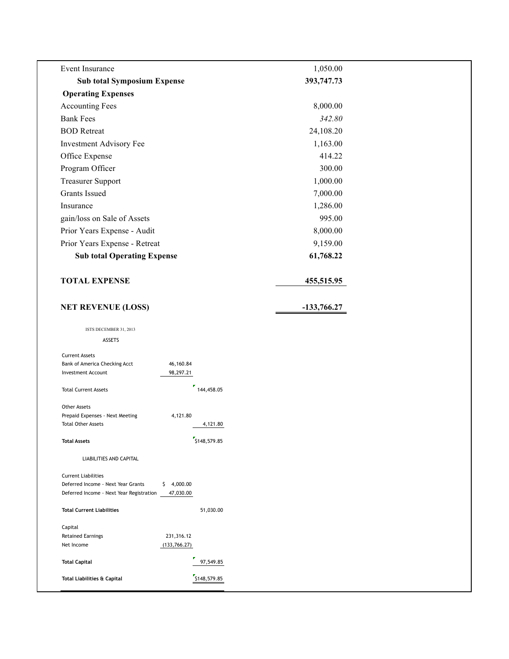| Event Insurance                                                                      |              | 1,050.00      |  |
|--------------------------------------------------------------------------------------|--------------|---------------|--|
| <b>Sub total Symposium Expense</b>                                                   |              | 393,747.73    |  |
| <b>Operating Expenses</b>                                                            |              |               |  |
| <b>Accounting Fees</b>                                                               |              | 8,000.00      |  |
| <b>Bank Fees</b>                                                                     |              | 342.80        |  |
| <b>BOD</b> Retreat                                                                   |              | 24,108.20     |  |
| <b>Investment Advisory Fee</b>                                                       |              | 1,163.00      |  |
| Office Expense                                                                       |              | 414.22        |  |
| Program Officer                                                                      |              | 300.00        |  |
| <b>Treasurer Support</b>                                                             |              | 1,000.00      |  |
| <b>Grants Issued</b>                                                                 |              | 7,000.00      |  |
| Insurance                                                                            |              | 1,286.00      |  |
| gain/loss on Sale of Assets                                                          |              | 995.00        |  |
| Prior Years Expense - Audit                                                          |              | 8,000.00      |  |
| Prior Years Expense - Retreat                                                        |              | 9,159.00      |  |
| <b>Sub total Operating Expense</b>                                                   |              | 61,768.22     |  |
|                                                                                      |              |               |  |
| <b>TOTAL EXPENSE</b>                                                                 |              | 455,515.95    |  |
|                                                                                      |              |               |  |
| <b>NET REVENUE (LOSS)</b>                                                            |              | $-133,766.27$ |  |
|                                                                                      |              |               |  |
| ISTS DECEMBER 31, 2013                                                               |              |               |  |
| <b>ASSETS</b>                                                                        |              |               |  |
| <b>Current Assets</b>                                                                |              |               |  |
| 46,160.84<br>Bank of America Checking Acct<br>98,297.21<br><b>Investment Account</b> |              |               |  |
|                                                                                      | 144,458.05   |               |  |
| <b>Total Current Assets</b>                                                          |              |               |  |
| <b>Other Assets</b>                                                                  |              |               |  |
| Prepaid Expenses - Next Meeting<br>4,121.80<br><b>Total Other Assets</b>             | 4,121.80     |               |  |
|                                                                                      |              |               |  |
| <b>Total Assets</b>                                                                  | 5148,579.85  |               |  |
| <b>LIABILITIES AND CAPITAL</b>                                                       |              |               |  |
| <b>Current Liabilities</b>                                                           |              |               |  |
| \$4,000.00<br>Deferred Income - Next Year Grants                                     |              |               |  |
| Deferred Income - Next Year Registration<br>47,030.00                                |              |               |  |
| <b>Total Current Liabilities</b>                                                     | 51,030.00    |               |  |
| Capital                                                                              |              |               |  |
| 231,316.12<br><b>Retained Earnings</b>                                               |              |               |  |
| Net Income<br>(133, 766.27)                                                          |              |               |  |
| <b>Total Capital</b>                                                                 | 97,549.85    |               |  |
| Total Liabilities & Capital                                                          | \$148,579.85 |               |  |
|                                                                                      |              |               |  |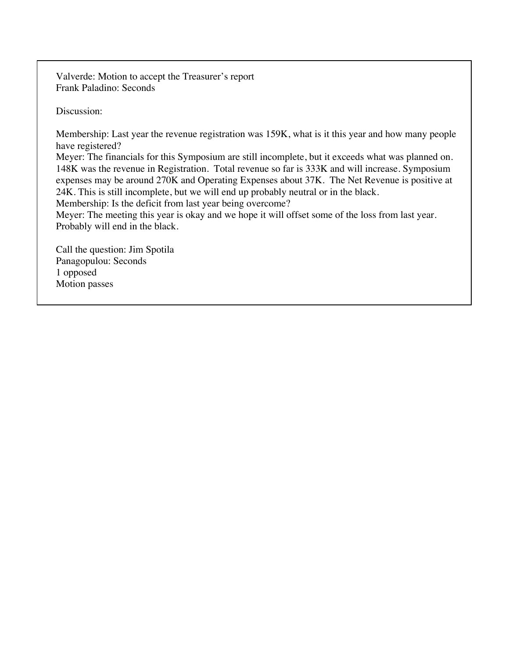Valverde: Motion to accept the Treasurer's report Frank Paladino: Seconds

Discussion:

Membership: Last year the revenue registration was 159K, what is it this year and how many people have registered?

Meyer: The financials for this Symposium are still incomplete, but it exceeds what was planned on. 148K was the revenue in Registration. Total revenue so far is 333K and will increase. Symposium expenses may be around 270K and Operating Expenses about 37K. The Net Revenue is positive at 24K. This is still incomplete, but we will end up probably neutral or in the black.

Membership: Is the deficit from last year being overcome?

Meyer: The meeting this year is okay and we hope it will offset some of the loss from last year. Probably will end in the black.

Call the question: Jim Spotila Panagopulou: Seconds 1 opposed Motion passes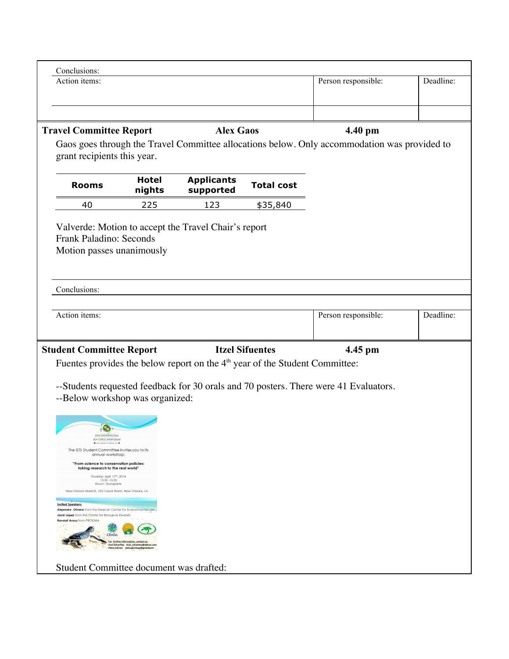| Action items:                                                                                                                        |                        |                                                                               |                        | Person responsible:                                                                                     | Deadline: |
|--------------------------------------------------------------------------------------------------------------------------------------|------------------------|-------------------------------------------------------------------------------|------------------------|---------------------------------------------------------------------------------------------------------|-----------|
|                                                                                                                                      |                        |                                                                               |                        |                                                                                                         |           |
| <b>Travel Committee Report</b>                                                                                                       |                        | <b>Alex Gaos</b>                                                              |                        | 4.40 pm<br>Gaos goes through the Travel Committee allocations below. Only accommodation was provided to |           |
| grant recipients this year.                                                                                                          |                        |                                                                               |                        |                                                                                                         |           |
| <b>Rooms</b>                                                                                                                         | <b>Hotel</b><br>nights | <b>Applicants</b><br>supported                                                | <b>Total cost</b>      |                                                                                                         |           |
| 40                                                                                                                                   | 225                    | 123                                                                           | \$35,840               |                                                                                                         |           |
| Frank Paladino: Seconds<br>Motion passes unanimously                                                                                 |                        |                                                                               |                        |                                                                                                         |           |
| Conclusions:                                                                                                                         |                        |                                                                               |                        |                                                                                                         |           |
| Action items:                                                                                                                        |                        |                                                                               |                        | Person responsible:                                                                                     | Deadline: |
|                                                                                                                                      |                        |                                                                               | <b>Itzel Sifuentes</b> | 4.45 pm                                                                                                 |           |
|                                                                                                                                      |                        |                                                                               |                        |                                                                                                         |           |
| <b>Student Committee Report</b>                                                                                                      |                        | Fuentes provides the below report on the $4th$ year of the Student Committee: |                        |                                                                                                         |           |
| --Below workshop was organized:<br>A.<br>2014 INTERNATIONAL<br>SEA TURTLE SYMPOSIUM<br>The ISTS Student Committee invites you to its |                        |                                                                               |                        | --Students requested feedback for 30 orals and 70 posters. There were 41 Evaluators.                    |           |
| annual workshop:<br>"From science to conservation policies:<br>taking research to the real world"<br>Thursday April 17th, 2014       |                        |                                                                               |                        |                                                                                                         |           |
| 13:30 - 15:30<br>Room: Bonaparte<br>New Orleans Marriott, 555 Canal Street, New Orleans, LA                                          |                        |                                                                               |                        |                                                                                                         |           |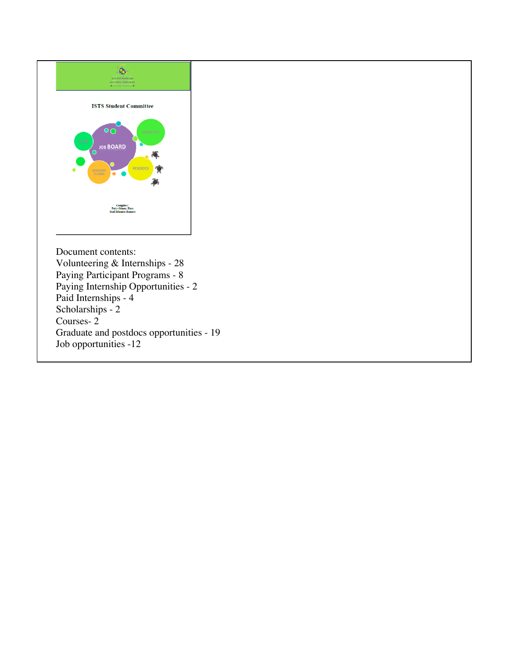

Courses- 2 Graduate and postdocs opportunities - 19 Job opportunities -12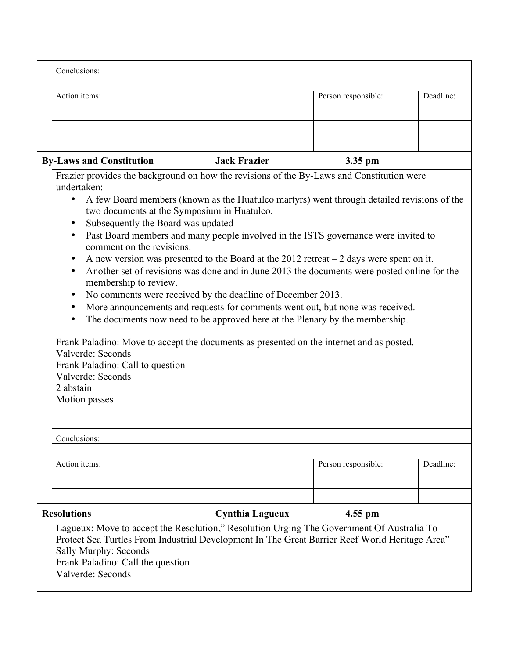| Conclusions:                                                                                                                                                                                                                                                                                                                                   |                                                                                                                                                                                                                                                                                                                                                                                                                                                                                                                                                                                                               |                     |           |
|------------------------------------------------------------------------------------------------------------------------------------------------------------------------------------------------------------------------------------------------------------------------------------------------------------------------------------------------|---------------------------------------------------------------------------------------------------------------------------------------------------------------------------------------------------------------------------------------------------------------------------------------------------------------------------------------------------------------------------------------------------------------------------------------------------------------------------------------------------------------------------------------------------------------------------------------------------------------|---------------------|-----------|
| Action items:                                                                                                                                                                                                                                                                                                                                  |                                                                                                                                                                                                                                                                                                                                                                                                                                                                                                                                                                                                               | Person responsible: | Deadline: |
|                                                                                                                                                                                                                                                                                                                                                |                                                                                                                                                                                                                                                                                                                                                                                                                                                                                                                                                                                                               |                     |           |
| <b>By-Laws and Constitution</b>                                                                                                                                                                                                                                                                                                                | <b>Jack Frazier</b>                                                                                                                                                                                                                                                                                                                                                                                                                                                                                                                                                                                           | 3.35 pm             |           |
| Frazier provides the background on how the revisions of the By-Laws and Constitution were<br>undertaken:<br>$\bullet$<br>two documents at the Symposium in Huatulco.<br>Subsequently the Board was updated<br>$\bullet$<br>comment on the revisions.<br>$\bullet$<br>$\bullet$<br>membership to review.<br>$\bullet$<br>$\bullet$<br>$\bullet$ | A few Board members (known as the Huatulco martyrs) went through detailed revisions of the<br>Past Board members and many people involved in the ISTS governance were invited to<br>A new version was presented to the Board at the $2012$ retreat $-2$ days were spent on it.<br>Another set of revisions was done and in June 2013 the documents were posted online for the<br>No comments were received by the deadline of December 2013.<br>More announcements and requests for comments went out, but none was received.<br>The documents now need to be approved here at the Plenary by the membership. |                     |           |

Valverde: Seconds Frank Paladino: Call to question Valverde: Seconds 2 abstain Motion passes

| Conclusions:                                               |                                                                                                                                                                                             |                     |           |
|------------------------------------------------------------|---------------------------------------------------------------------------------------------------------------------------------------------------------------------------------------------|---------------------|-----------|
| Action items:                                              |                                                                                                                                                                                             | Person responsible: | Deadline: |
|                                                            |                                                                                                                                                                                             |                     |           |
| <b>Resolutions</b>                                         | <b>Cynthia Lagueux</b>                                                                                                                                                                      | $4.55$ pm           |           |
| Sally Murphy: Seconds<br>Frank Paladino: Call the question | Lagueux: Move to accept the Resolution," Resolution Urging The Government Of Australia To<br>Protect Sea Turtles From Industrial Development In The Great Barrier Reef World Heritage Area" |                     |           |

Valverde: Seconds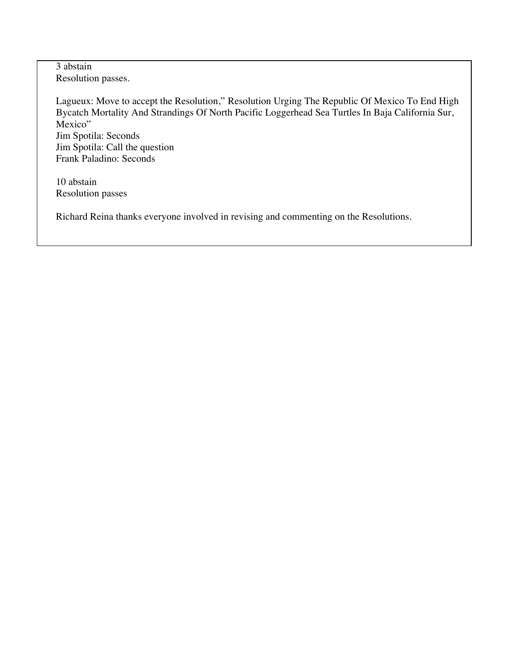3 abstain Resolution passes.

Lagueux: Move to accept the Resolution," Resolution Urging The Republic Of Mexico To End High Bycatch Mortality And Strandings Of North Pacific Loggerhead Sea Turtles In Baja California Sur, Mexico" Jim Spotila: Seconds Jim Spotila: Call the question Frank Paladino: Seconds

10 abstain Resolution passes

Richard Reina thanks everyone involved in revising and commenting on the Resolutions.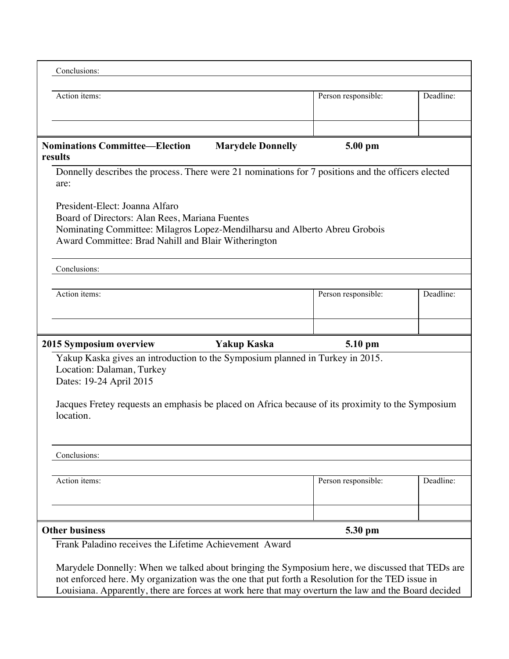| Conclusions:                                                                                                                                                                                                                                                                                               |                     |           |
|------------------------------------------------------------------------------------------------------------------------------------------------------------------------------------------------------------------------------------------------------------------------------------------------------------|---------------------|-----------|
| Action items:                                                                                                                                                                                                                                                                                              | Person responsible: | Deadline: |
|                                                                                                                                                                                                                                                                                                            |                     |           |
| <b>Nominations Committee—Election</b><br><b>Marydele Donnelly</b><br>results                                                                                                                                                                                                                               | 5.00 pm             |           |
| Donnelly describes the process. There were 21 nominations for 7 positions and the officers elected<br>are:                                                                                                                                                                                                 |                     |           |
| President-Elect: Joanna Alfaro<br>Board of Directors: Alan Rees, Mariana Fuentes<br>Nominating Committee: Milagros Lopez-Mendilharsu and Alberto Abreu Grobois<br>Award Committee: Brad Nahill and Blair Witherington                                                                                      |                     |           |
| Conclusions:                                                                                                                                                                                                                                                                                               |                     |           |
| Action items:                                                                                                                                                                                                                                                                                              | Person responsible: | Deadline: |
| 2015 Symposium overview<br><b>Yakup Kaska</b>                                                                                                                                                                                                                                                              | 5.10 pm             |           |
| Yakup Kaska gives an introduction to the Symposium planned in Turkey in 2015.<br>Location: Dalaman, Turkey<br>Dates: 19-24 April 2015                                                                                                                                                                      |                     |           |
| Jacques Fretey requests an emphasis be placed on Africa because of its proximity to the Symposium<br>location.                                                                                                                                                                                             |                     |           |
| Conclusions:                                                                                                                                                                                                                                                                                               |                     |           |
| Action items:                                                                                                                                                                                                                                                                                              | Person responsible: | Deadline: |
|                                                                                                                                                                                                                                                                                                            |                     |           |
| <b>Other business</b>                                                                                                                                                                                                                                                                                      | 5.30 pm             |           |
| Frank Paladino receives the Lifetime Achievement Award                                                                                                                                                                                                                                                     |                     |           |
| Marydele Donnelly: When we talked about bringing the Symposium here, we discussed that TEDs are<br>not enforced here. My organization was the one that put forth a Resolution for the TED issue in<br>Louisiana. Apparently, there are forces at work here that may overturn the law and the Board decided |                     |           |